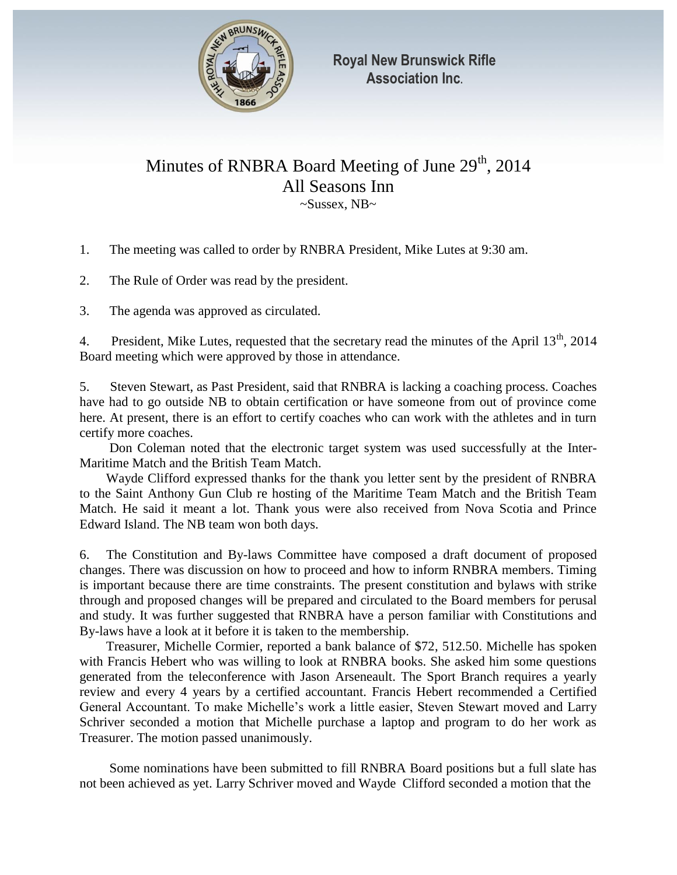

## Minutes of RNBRA Board Meeting of June  $29<sup>th</sup>$ , 2014 All Seasons Inn ~Sussex, NB~

1. The meeting was called to order by RNBRA President, Mike Lutes at 9:30 am.

2. The Rule of Order was read by the president.

3. The agenda was approved as circulated.

4. President, Mike Lutes, requested that the secretary read the minutes of the April  $13<sup>th</sup>$ , 2014 Board meeting which were approved by those in attendance.

5. Steven Stewart, as Past President, said that RNBRA is lacking a coaching process. Coaches have had to go outside NB to obtain certification or have someone from out of province come here. At present, there is an effort to certify coaches who can work with the athletes and in turn certify more coaches.

 Don Coleman noted that the electronic target system was used successfully at the Inter-Maritime Match and the British Team Match.

 Wayde Clifford expressed thanks for the thank you letter sent by the president of RNBRA to the Saint Anthony Gun Club re hosting of the Maritime Team Match and the British Team Match. He said it meant a lot. Thank yous were also received from Nova Scotia and Prince Edward Island. The NB team won both days.

6. The Constitution and By-laws Committee have composed a draft document of proposed changes. There was discussion on how to proceed and how to inform RNBRA members. Timing is important because there are time constraints. The present constitution and bylaws with strike through and proposed changes will be prepared and circulated to the Board members for perusal and study. It was further suggested that RNBRA have a person familiar with Constitutions and By-laws have a look at it before it is taken to the membership.

 Treasurer, Michelle Cormier, reported a bank balance of \$72, 512.50. Michelle has spoken with Francis Hebert who was willing to look at RNBRA books. She asked him some questions generated from the teleconference with Jason Arseneault. The Sport Branch requires a yearly review and every 4 years by a certified accountant. Francis Hebert recommended a Certified General Accountant. To make Michelle's work a little easier, Steven Stewart moved and Larry Schriver seconded a motion that Michelle purchase a laptop and program to do her work as Treasurer. The motion passed unanimously.

 Some nominations have been submitted to fill RNBRA Board positions but a full slate has not been achieved as yet. Larry Schriver moved and Wayde Clifford seconded a motion that the